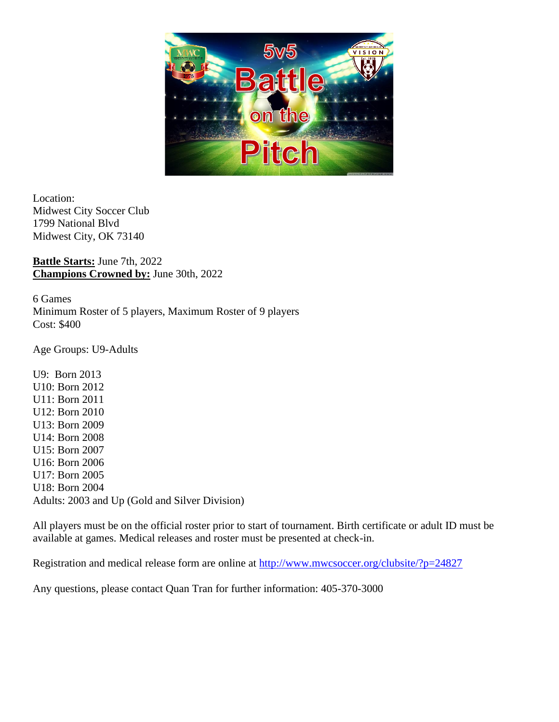

Location: Midwest City Soccer Club 1799 National Blvd Midwest City, OK 73140

**Battle Starts:** June 7th, 2022 **Champions Crowned by:** June 30th, 2022

6 Games Minimum Roster of 5 players, Maximum Roster of 9 players Cost: \$400

Age Groups: U9-Adults

U9: Born 2013 U10: Born 2012 U11: Born 2011 U12: Born 2010 U13: Born 2009 U14: Born 2008 U15: Born 2007 U16: Born 2006 U17: Born 2005 U18: Born 2004 Adults: 2003 and Up (Gold and Silver Division)

All players must be on the official roster prior to start of tournament. Birth certificate or adult ID must be available at games. Medical releases and roster must be presented at check-in.

Registration and medical release form are online at<http://www.mwcsoccer.org/clubsite/?p=24827>

Any questions, please contact Quan Tran for further information: 405-370-3000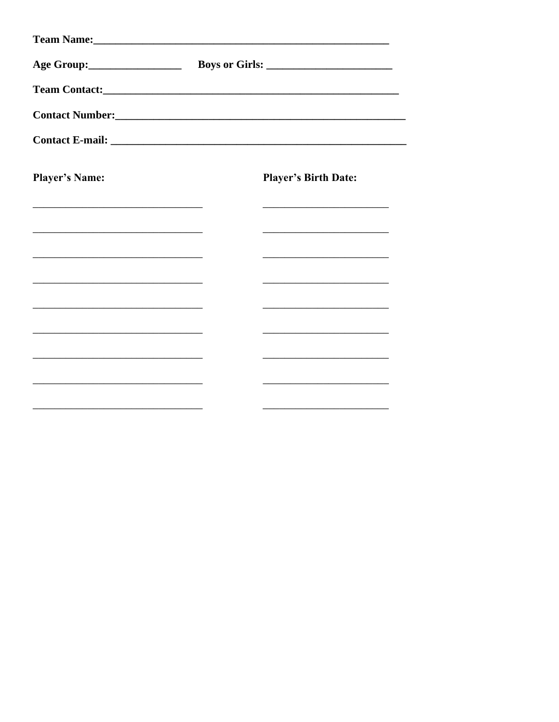|                                                                                           |  | Contact Number:<br><u>Contact Number:</u>                                                 |  |
|-------------------------------------------------------------------------------------------|--|-------------------------------------------------------------------------------------------|--|
|                                                                                           |  |                                                                                           |  |
| <b>Player's Name:</b>                                                                     |  | <b>Player's Birth Date:</b>                                                               |  |
|                                                                                           |  | the control of the control of the control of the control of the control of the control of |  |
| the control of the control of the control of the control of the control of the control of |  | the control of the control of the control of the control of the control of                |  |
|                                                                                           |  |                                                                                           |  |
| the control of the control of the control of the control of the control of the control of |  | <u> 1989 - Johann Barbara, martxa alemaniar amerikan a</u>                                |  |
| the control of the control of the control of the control of the control of the control of |  | the control of the control of the control of the control of the control of                |  |
|                                                                                           |  |                                                                                           |  |
| the control of the control of the control of the control of the control of the control of |  | the control of the control of the control of the control of the control of                |  |
|                                                                                           |  |                                                                                           |  |